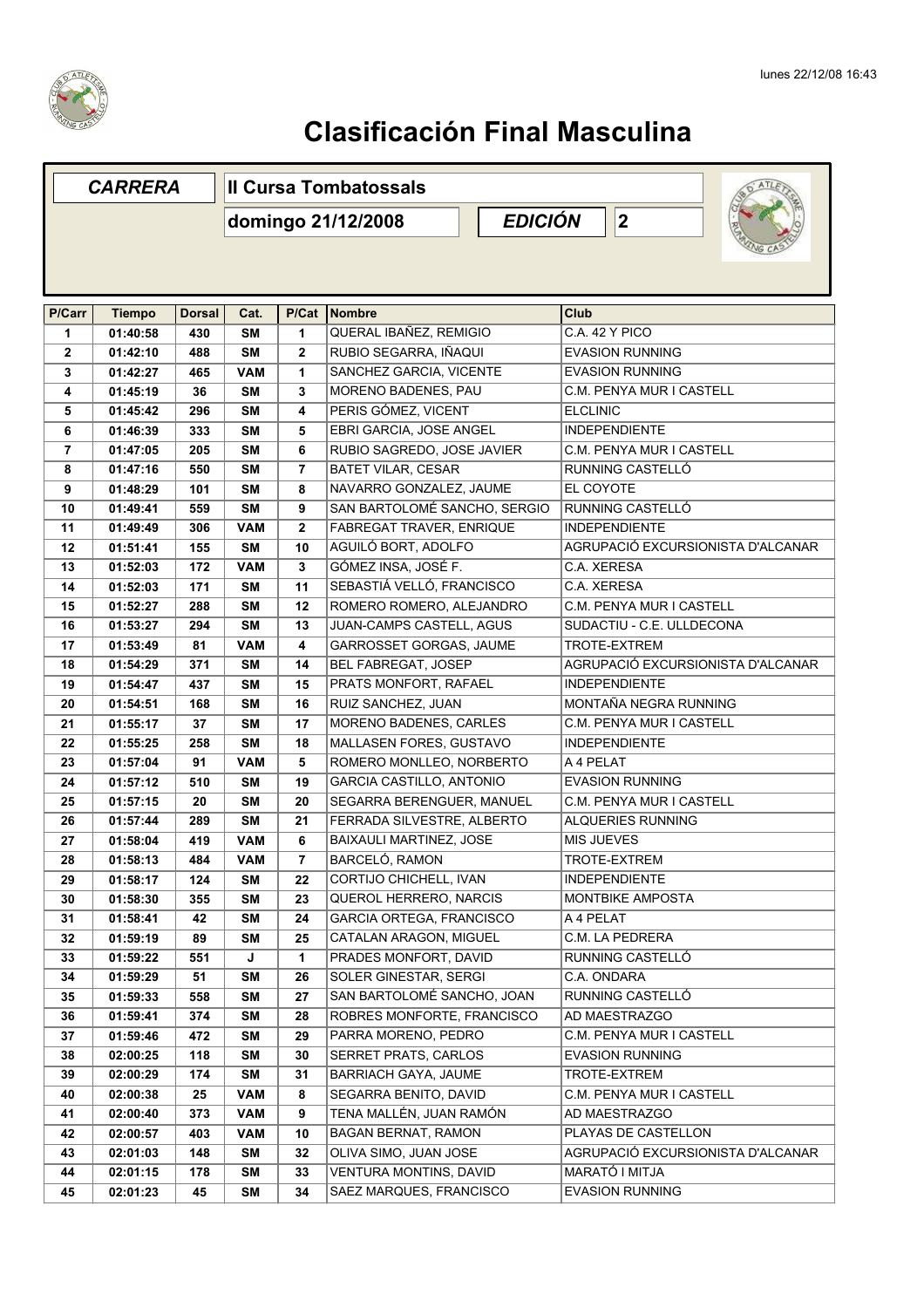

|                | <b>CARRERA</b> |               | <b>Il Cursa Tombatossals</b> |                |                                             |  |                   |                                 |                                   |
|----------------|----------------|---------------|------------------------------|----------------|---------------------------------------------|--|-------------------|---------------------------------|-----------------------------------|
|                |                |               |                              |                | <b>EDICIÓN</b><br> 2 <br>domingo 21/12/2008 |  |                   |                                 |                                   |
|                |                |               |                              |                |                                             |  |                   |                                 |                                   |
|                |                |               |                              |                |                                             |  |                   |                                 |                                   |
| P/Carr         | <b>Tiempo</b>  | <b>Dorsal</b> | Cat.                         | P/Cat          | Nombre                                      |  | Club              |                                 |                                   |
| 1              | 01:40:58       | 430           | <b>SM</b>                    | 1              | QUERAL IBAÑEZ, REMIGIO                      |  | C.A. 42 Y PICO    |                                 |                                   |
| $\overline{2}$ | 01:42:10       | 488           | <b>SM</b>                    | $\mathbf{2}$   | RUBIO SEGARRA, IÑAQUI                       |  |                   | <b>EVASION RUNNING</b>          |                                   |
| 3              | 01:42:27       | 465           | <b>VAM</b>                   | 1              | SANCHEZ GARCIA, VICENTE                     |  |                   | <b>EVASION RUNNING</b>          |                                   |
| 4              | 01:45:19       | 36            | <b>SM</b>                    | 3              | MORENO BADENES, PAU                         |  |                   | C.M. PENYA MUR I CASTELL        |                                   |
| 5              | 01:45:42       | 296           | <b>SM</b>                    | 4              | PERIS GÓMEZ, VICENT                         |  | <b>ELCLINIC</b>   |                                 |                                   |
| 6              | 01:46:39       | 333           | <b>SM</b>                    | 5              | EBRI GARCIA, JOSE ANGEL                     |  |                   | <b>INDEPENDIENTE</b>            |                                   |
| $\overline{7}$ | 01:47:05       | 205           | <b>SM</b>                    | 6              | RUBIO SAGREDO, JOSE JAVIER                  |  |                   | C.M. PENYA MUR I CASTELL        |                                   |
| 8              | 01:47:16       | 550           | <b>SM</b>                    | $\overline{7}$ | <b>BATET VILAR, CESAR</b>                   |  |                   | RUNNING CASTELLÓ                |                                   |
| 9              | 01:48:29       | 101           | <b>SM</b>                    | 8              | NAVARRO GONZALEZ. JAUME                     |  | EL COYOTE         |                                 |                                   |
| 10             | 01:49:41       | 559           | <b>SM</b>                    | 9              | SAN BARTOLOMÉ SANCHO, SERGIO                |  |                   | RUNNING CASTELLÓ                |                                   |
| 11             | 01:49:49       | 306           | <b>VAM</b>                   | $\mathbf{2}$   | FABREGAT TRAVER, ENRIQUE                    |  |                   | <b>INDEPENDIENTE</b>            |                                   |
| 12             | 01:51:41       | 155           | <b>SM</b>                    | 10             | AGUILÓ BORT, ADOLFO                         |  |                   |                                 | AGRUPACIÓ EXCURSIONISTA D'ALCANAR |
| 13             | 01:52:03       | 172           | <b>VAM</b>                   | $\mathbf{3}$   | GÓMEZ INSA, JOSÉ F.                         |  | C.A. XERESA       |                                 |                                   |
| 14             | 01:52:03       | 171           | <b>SM</b>                    | 11             | SEBASTIÁ VELLÓ, FRANCISCO                   |  | C.A. XERESA       |                                 |                                   |
| 15             | 01:52:27       | 288           | <b>SM</b>                    | 12             | ROMERO ROMERO, ALEJANDRO                    |  |                   | <b>C.M. PENYA MUR I CASTELL</b> |                                   |
| 16             | 01:53:27       | 294           | <b>SM</b>                    | 13             | JUAN-CAMPS CASTELL, AGUS                    |  |                   | SUDACTIU - C.E. ULLDECONA       |                                   |
| 17             | 01:53:49       | 81            | <b>VAM</b>                   | 4              | GARROSSET GORGAS, JAUME                     |  |                   | TROTE-EXTREM                    |                                   |
| 18             | 01:54:29       | 371           | <b>SM</b>                    | 14             | BEL FABREGAT, JOSEP                         |  |                   |                                 | AGRUPACIÓ EXCURSIONISTA D'ALCANAR |
| 19             | 01:54:47       | 437           | <b>SM</b>                    | 15             | PRATS MONFORT, RAFAEL                       |  |                   | <b>INDEPENDIENTE</b>            |                                   |
| 20             | 01:54:51       | 168           | <b>SM</b>                    | 16             | RUIZ SANCHEZ, JUAN                          |  |                   | MONTAÑA NEGRA RUNNING           |                                   |
| 21             | 01:55:17       | 37            | <b>SM</b>                    | 17             | MORENO BADENES, CARLES                      |  |                   | C.M. PENYA MUR I CASTELL        |                                   |
| 22             | 01:55:25       | 258           | <b>SM</b>                    | 18             | MALLASEN FORES, GUSTAVO                     |  |                   | <b>INDEPENDIENTE</b>            |                                   |
| 23             | 01:57:04       | 91            | <b>VAM</b>                   | 5              | ROMERO MONLLEO, NORBERTO                    |  | A 4 PELAT         |                                 |                                   |
| 24             | 01:57:12       | 510           | <b>SM</b>                    | 19             | <b>GARCIA CASTILLO, ANTONIO</b>             |  |                   | <b>EVASION RUNNING</b>          |                                   |
| 25             | 01:57:15       | 20            | <b>SM</b>                    | 20             | SEGARRA BERENGUER, MANUEL                   |  |                   | C.M. PENYA MUR I CASTELL        |                                   |
| 26             | 01:57:44       | 289           | <b>SM</b>                    | 21             | FERRADA SILVESTRE, ALBERTO                  |  |                   | <b>ALQUERIES RUNNING</b>        |                                   |
| 27             | 01:58:04       | 419           | <b>VAM</b>                   | 6              | <b>BAIXAULI MARTINEZ. JOSE</b>              |  | <b>MIS JUEVES</b> |                                 |                                   |
| 28             | 01:58:13       | 484           | <b>VAM</b>                   | $\overline{7}$ | BARCELÓ, RAMON                              |  |                   | TROTE-EXTREM                    |                                   |
| 29             | 01:58:17       | 124           | SΜ                           | 22             | CORTIJO CHICHELL, IVAN                      |  |                   | <b>INDEPENDIENTE</b>            |                                   |
| 30             | 01:58:30       | 355           | <b>SM</b>                    | 23             | QUEROL HERRERO, NARCIS                      |  |                   | MONTBIKE AMPOSTA                |                                   |
| 31             | 01:58:41       | 42            | <b>SM</b>                    | 24             | GARCIA ORTEGA, FRANCISCO                    |  | A 4 PELAT         |                                 |                                   |
| 32             | 01:59:19       | 89            | <b>SM</b>                    | 25             | CATALAN ARAGON, MIGUEL                      |  |                   | C.M. LA PEDRERA                 |                                   |
| 33             | 01:59:22       | 551           | J                            | $\mathbf{1}$   | PRADES MONFORT, DAVID                       |  |                   | RUNNING CASTELLÓ                |                                   |
| 34             | 01:59:29       | 51            | <b>SM</b>                    | 26             | SOLER GINESTAR, SERGI                       |  | C.A. ONDARA       |                                 |                                   |
| 35             | 01:59:33       | 558           | SΜ                           | 27             | SAN BARTOLOMÉ SANCHO, JOAN                  |  |                   | RUNNING CASTELLÓ                |                                   |
| 36             | 01:59:41       | 374           | SΜ                           | 28             | ROBRES MONFORTE, FRANCISCO                  |  |                   | AD MAESTRAZGO                   |                                   |
| 37             | 01:59:46       | 472           | <b>SM</b>                    | 29             | PARRA MORENO, PEDRO                         |  |                   | C.M. PENYA MUR I CASTELL        |                                   |
| 38             | 02:00:25       | 118           | <b>SM</b>                    | 30             | SERRET PRATS, CARLOS                        |  |                   | <b>EVASION RUNNING</b>          |                                   |
| 39             | 02:00:29       | 174           | <b>SM</b>                    | 31             | BARRIACH GAYA, JAUME                        |  |                   | TROTE-EXTREM                    |                                   |
| 40             | 02:00:38       | 25            | VAM                          | 8              | SEGARRA BENITO, DAVID                       |  |                   | <b>C.M. PENYA MUR I CASTELL</b> |                                   |
| 41             | 02:00:40       | 373           | <b>VAM</b>                   | 9              | TENA MALLÉN, JUAN RAMÓN                     |  |                   | AD MAESTRAZGO                   |                                   |
| 42             | 02:00:57       | 403           | VAM                          | 10             | <b>BAGAN BERNAT, RAMON</b>                  |  |                   | PLAYAS DE CASTELLON             |                                   |
| 43             | 02:01:03       | 148           | <b>SM</b>                    | 32             | OLIVA SIMO, JUAN JOSE                       |  |                   |                                 | AGRUPACIÓ EXCURSIONISTA D'ALCANAR |
| 44             | 02:01:15       | 178           | <b>SM</b>                    | 33             | VENTURA MONTINS, DAVID                      |  |                   | MARATÓ I MITJA                  |                                   |
| 45             | 02:01:23       | 45            | <b>SM</b>                    | 34             | SAEZ MARQUES, FRANCISCO                     |  |                   | <b>EVASION RUNNING</b>          |                                   |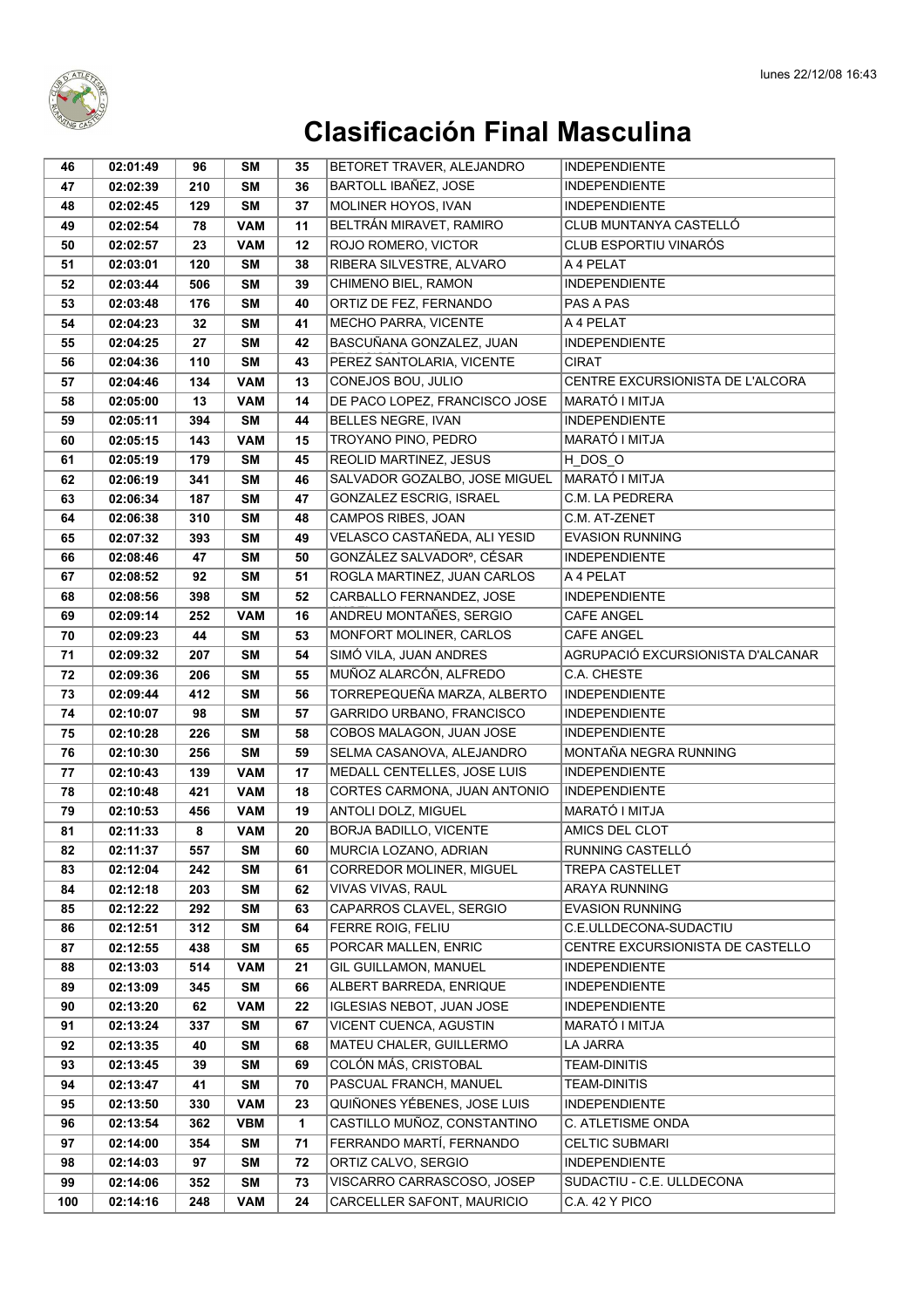

| 46       | 02:01:49             | 96        | SΜ         | 35       | BETORET TRAVER, ALEJANDRO                         | <b>INDEPENDIENTE</b>                              |
|----------|----------------------|-----------|------------|----------|---------------------------------------------------|---------------------------------------------------|
| 47       | 02:02:39             | 210       | <b>SM</b>  | 36       | <b>BARTOLL IBAÑEZ, JOSE</b>                       | <b>INDEPENDIENTE</b>                              |
| 48       | 02:02:45             | 129       | <b>SM</b>  | 37       | MOLINER HOYOS, IVAN                               | <b>INDEPENDIENTE</b>                              |
| 49       | 02:02:54             | 78        | <b>VAM</b> | 11       | BELTRÁN MIRAVET, RAMIRO                           | CLUB MUNTANYA CASTELLÓ                            |
| 50       | 02:02:57             | 23        | <b>VAM</b> | 12       | ROJO ROMERO, VICTOR                               | CLUB ESPORTIU VINARÓS                             |
| 51       | 02:03:01             | 120       | SM         | 38       | RIBERA SILVESTRE, ALVARO                          | A 4 PELAT                                         |
| 52       | 02:03:44             | 506       | <b>SM</b>  | 39       | CHIMENO BIEL, RAMON                               | <b>INDEPENDIENTE</b>                              |
| 53       | 02:03:48             | 176       | <b>SM</b>  | 40       | ORTIZ DE FEZ, FERNANDO                            | PAS A PAS                                         |
| 54       | 02:04:23             | 32        | <b>SM</b>  | 41       | MECHO PARRA, VICENTE                              | A 4 PELAT                                         |
| 55       | 02:04:25             | 27        | <b>SM</b>  | 42       | BASCUÑANA GONZALEZ, JUAN                          | <b>INDEPENDIENTE</b>                              |
| 56       | 02:04:36             | 110       | <b>SM</b>  | 43       | PEREZ SANTOLARIA, VICENTE                         | <b>CIRAT</b>                                      |
| 57       | 02:04:46             | 134       | <b>VAM</b> | 13       | CONEJOS BOU, JULIO                                | CENTRE EXCURSIONISTA DE L'ALCORA                  |
| 58       | 02:05:00             | 13        | <b>VAM</b> | 14       | DE PACO LOPEZ, FRANCISCO JOSE                     | MARATÓ I MITJA                                    |
| 59       | 02:05:11             | 394       | <b>SM</b>  | 44       | BELLES NEGRE, IVAN                                | <b>INDEPENDIENTE</b>                              |
| 60       | 02:05:15             | 143       | <b>VAM</b> | 15       | TROYANO PINO, PEDRO                               | MARATÓ I MITJA                                    |
| 61       | 02:05:19             | 179       | <b>SM</b>  | 45       | REOLID MARTINEZ, JESUS                            | H_DOS_O                                           |
| 62       | 02:06:19             | 341       | <b>SM</b>  | 46       | SALVADOR GOZALBO, JOSE MIGUEL                     | <b>MARATÓ I MITJA</b>                             |
| 63       | 02:06:34             | 187       | <b>SM</b>  | 47       | GONZALEZ ESCRIG, ISRAEL                           | C.M. LA PEDRERA                                   |
| 64       | 02:06:38             | 310       | <b>SM</b>  | 48       | CAMPOS RIBES, JOAN                                | C.M. AT-ZENET                                     |
| 65       | 02:07:32             | 393       | <b>SM</b>  | 49       | VELASCO CASTAÑEDA, ALI YESID                      | <b>EVASION RUNNING</b>                            |
| 66       | 02:08:46             | 47        | <b>SM</b>  | 50       | GONZÁLEZ SALVADORº, CÉSAR                         | <b>INDEPENDIENTE</b>                              |
| 67       | 02:08:52             | 92        | <b>SM</b>  | 51       | ROGLA MARTINEZ, JUAN CARLOS                       | A 4 PELAT                                         |
| 68       | 02:08:56             | 398       | <b>SM</b>  | 52       | CARBALLO FERNANDEZ, JOSE                          | <b>INDEPENDIENTE</b>                              |
| 69       | 02:09:14             | 252       | <b>VAM</b> | 16       | ANDREU MONTAÑES, SERGIO                           | CAFE ANGEL                                        |
| 70       | 02:09:23             | 44        | <b>SM</b>  | 53       | MONFORT MOLINER, CARLOS                           | <b>CAFE ANGEL</b>                                 |
| 71       | 02:09:32             | 207       | <b>SM</b>  | 54       | SIMÓ VILA, JUAN ANDRES                            | AGRUPACIÓ EXCURSIONISTA D'ALCANAR                 |
| 72       | 02:09:36             | 206       | <b>SM</b>  | 55       | MUÑOZ ALARCÓN, ALFREDO                            | C.A. CHESTE                                       |
| 73       | 02:09:44             | 412       | <b>SM</b>  | 56       | TORREPEQUEÑA MARZA, ALBERTO                       | <b>INDEPENDIENTE</b>                              |
| 74       | 02:10:07             | 98        | <b>SM</b>  | 57       | GARRIDO URBANO, FRANCISCO                         | <b>INDEPENDIENTE</b>                              |
| 75       | 02:10:28             | 226       | <b>SM</b>  | 58       | COBOS MALAGON, JUAN JOSE                          | <b>INDEPENDIENTE</b>                              |
| 76       | 02:10:30             | 256       | <b>SM</b>  | 59       | SELMA CASANOVA, ALEJANDRO                         | MONTAÑA NEGRA RUNNING                             |
| 77       | 02:10:43             | 139       | <b>VAM</b> | 17       | MEDALL CENTELLES, JOSE LUIS                       | <b>INDEPENDIENTE</b>                              |
| 78       | 02:10:48             | 421       | <b>VAM</b> | 18       | CORTES CARMONA, JUAN ANTONIO                      | <b>INDEPENDIENTE</b>                              |
| 79       | 02:10:53             | 456       | <b>VAM</b> | 19       | ANTOLI DOLZ, MIGUEL                               | MARATÓ I MITJA                                    |
| 81       | 02:11:33             | 8         | <b>VAM</b> | 20       | <b>BORJA BADILLO, VICENTE</b>                     | AMICS DEL CLOT                                    |
| 82       | 02:11:37             | 557       | SM         | 60       | MURCIA LOZANO, ADRIAN                             | RUNNING CASTELLÓ                                  |
| 83       | 02:12:04             | 242       | <b>SM</b>  | 61       | CORREDOR MOLINER, MIGUEL                          | TREPA CASTELLET                                   |
| 84       | 02:12:18             | 203       | <b>SM</b>  | 62       | VIVAS VIVAS, RAUL                                 | ARAYA RUNNING                                     |
| 85       | 02:12:22             | 292       | <b>SM</b>  | 63       | CAPARROS CLAVEL, SERGIO                           | <b>EVASION RUNNING</b>                            |
| 86       | 02:12:51             | 312       | SM         | 64       | FERRE ROIG, FELIU                                 | C.E.ULLDECONA-SUDACTIU                            |
| 87       | 02:12:55             | 438       | SM         | 65       | PORCAR MALLEN, ENRIC                              | CENTRE EXCURSIONISTA DE CASTELLO                  |
| 88       | 02:13:03             | 514       | <b>VAM</b> | 21       | GIL GUILLAMON, MANUEL                             | <b>INDEPENDIENTE</b>                              |
| 89       | 02:13:09             | 345       | SM         | 66       | ALBERT BARREDA, ENRIQUE                           | <b>INDEPENDIENTE</b>                              |
| 90       | 02:13:20             | 62        | <b>VAM</b> | 22       | IGLESIAS NEBOT, JUAN JOSE                         | <b>INDEPENDIENTE</b>                              |
| 91       | 02:13:24             | 337       | SM         | 67       | VICENT CUENCA, AGUSTIN                            | MARATÓ I MITJA                                    |
| 92       | 02:13:35             | 40        | SM         | 68       | MATEU CHALER, GUILLERMO                           | LA JARRA                                          |
| 93       | 02:13:45             | 39        | SM         | 69       | COLÓN MÁS, CRISTOBAL<br>PASCUAL FRANCH, MANUEL    | <b>TEAM-DINITIS</b><br><b>TEAM-DINITIS</b>        |
| 94       | 02:13:47             | 41        | <b>SM</b>  | 70       |                                                   |                                                   |
| 95       | 02:13:50             | 330       | <b>VAM</b> | 23       | QUIÑONES YÉBENES, JOSE LUIS                       | <b>INDEPENDIENTE</b>                              |
| 96       | 02:13:54             | 362       | <b>VBM</b> | 1        | CASTILLO MUÑOZ, CONSTANTINO                       | C. ATLETISME ONDA                                 |
| 97       | 02:14:00             | 354       | SM         | 71       | FERRANDO MARTÍ, FERNANDO                          | <b>CELTIC SUBMARI</b>                             |
| 98<br>99 | 02:14:03<br>02:14:06 | 97<br>352 | SM<br>SM   | 72<br>73 | ORTIZ CALVO, SERGIO<br>VISCARRO CARRASCOSO, JOSEP | <b>INDEPENDIENTE</b><br>SUDACTIU - C.E. ULLDECONA |
|          |                      |           |            | 24       | CARCELLER SAFONT, MAURICIO                        | C.A. 42 Y PICO                                    |
| 100      | 02:14:16             | 248       | VAM        |          |                                                   |                                                   |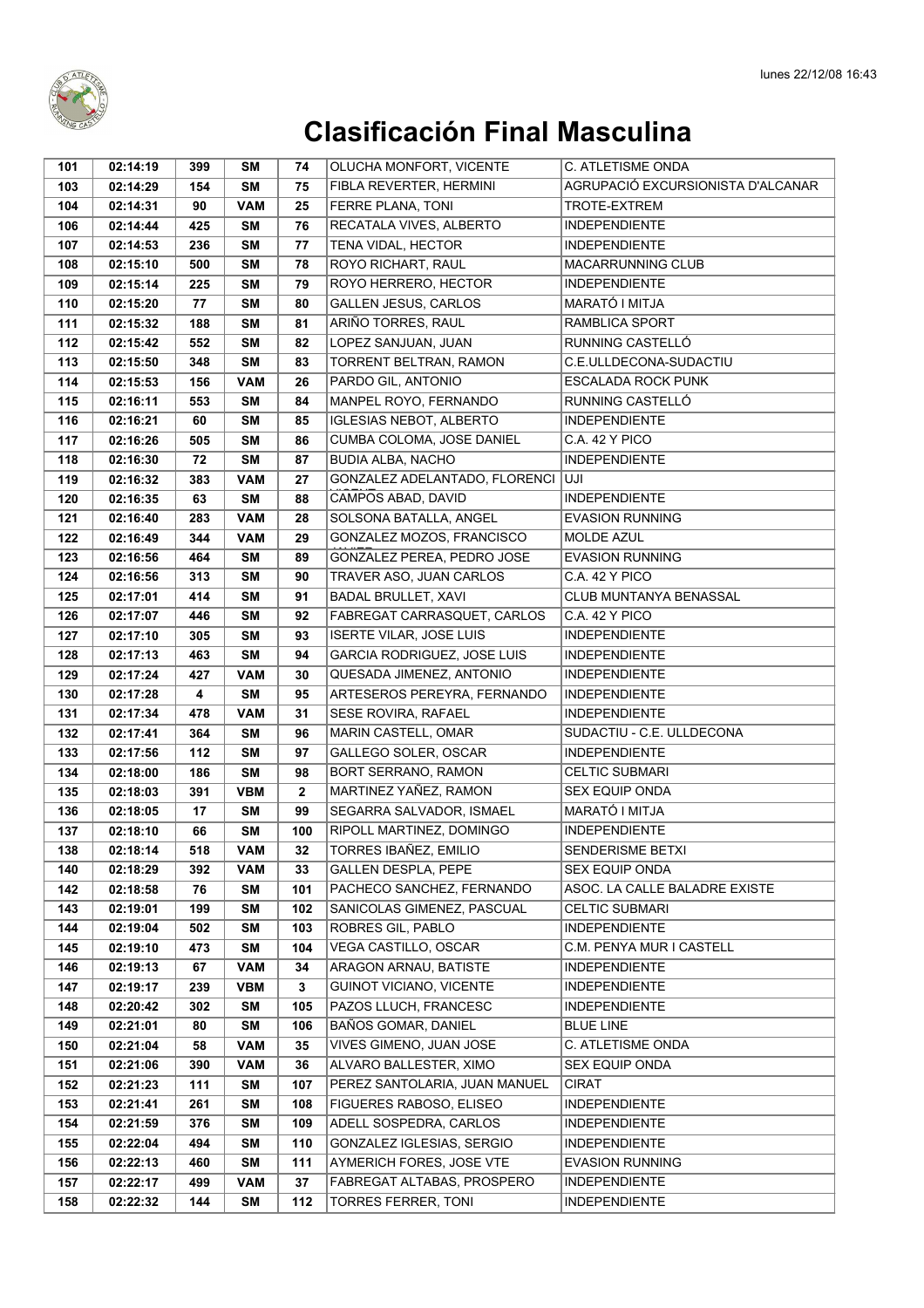

| 101        | 02:14:19             | 399        | SΜ              | 74           | OLUCHA MONFORT, VICENTE                         | <b>C. ATLETISME ONDA</b>                               |
|------------|----------------------|------------|-----------------|--------------|-------------------------------------------------|--------------------------------------------------------|
| 103        | 02:14:29             | 154        | <b>SM</b>       | 75           | FIBLA REVERTER, HERMINI                         | AGRUPACIÓ EXCURSIONISTA D'ALCANAR                      |
| 104        | 02:14:31             | 90         | <b>VAM</b>      | 25           | FERRE PLANA, TONI                               | TROTE-EXTREM                                           |
| 106        | 02:14:44             | 425        | <b>SM</b>       | 76           | RECATALA VIVES, ALBERTO                         | <b>INDEPENDIENTE</b>                                   |
| 107        | 02:14:53             | 236        | <b>SM</b>       | 77           | TENA VIDAL, HECTOR                              | <b>INDEPENDIENTE</b>                                   |
| 108        | 02:15:10             | 500        | <b>SM</b>       | 78           | ROYO RICHART, RAUL                              | MACARRUNNING CLUB                                      |
| 109        | 02:15:14             | 225        | <b>SM</b>       | 79           | ROYO HERRERO, HECTOR                            | <b>INDEPENDIENTE</b>                                   |
| 110        | 02:15:20             | 77         | <b>SM</b>       | 80           | <b>GALLEN JESUS, CARLOS</b>                     | MARATÓ I MITJA                                         |
| 111        | 02:15:32             | 188        | SΜ              | 81           | ARIÑO TORRES, RAUL                              | RAMBLICA SPORT                                         |
| 112        | 02:15:42             | 552        | <b>SM</b>       | 82           | LOPEZ SANJUAN, JUAN                             | RUNNING CASTELLÓ                                       |
| 113        | 02:15:50             | 348        | <b>SM</b>       | 83           | TORRENT BELTRAN, RAMON                          | C.E.ULLDECONA-SUDACTIU                                 |
| 114        | 02:15:53             | 156        | <b>VAM</b>      | 26           | PARDO GIL, ANTONIO                              | <b>ESCALADA ROCK PUNK</b>                              |
| 115        | 02:16:11             | 553        | <b>SM</b>       | 84           | MANPEL ROYO, FERNANDO                           | RUNNING CASTELLÓ                                       |
| 116        | 02:16:21             | 60         | <b>SM</b>       | 85           | <b>IGLESIAS NEBOT, ALBERTO</b>                  | <b>INDEPENDIENTE</b>                                   |
| 117        | 02:16:26             | 505        | <b>SM</b>       | 86           | CUMBA COLOMA, JOSE DANIEL                       | C.A. 42 Y PICO                                         |
| 118        | 02:16:30             | 72         | <b>SM</b>       | 87           | <b>BUDIA ALBA, NACHO</b>                        | <b>INDEPENDIENTE</b>                                   |
| 119        | 02:16:32             | 383        | <b>VAM</b>      | 27           | GONZALEZ ADELANTADO, FLORENCI                   | luji                                                   |
| 120        | 02:16:35             | 63         | <b>SM</b>       | 88           | CAMPOS ABAD, DAVID                              | <b>INDEPENDIENTE</b>                                   |
| 121        | 02:16:40             | 283        | <b>VAM</b>      | 28           | SOLSONA BATALLA, ANGEL                          | <b>EVASION RUNNING</b>                                 |
| 122        | 02:16:49             | 344        | <b>VAM</b>      | 29           | GONZALEZ MOZOS, FRANCISCO                       | <b>MOLDE AZUL</b>                                      |
| 123        | 02:16:56             | 464        | <b>SM</b>       | 89           | GONZALEZ PEREA, PEDRO JOSE                      | <b>EVASION RUNNING</b>                                 |
| 124        | 02:16:56             | 313        | <b>SM</b>       | 90           | TRAVER ASO, JUAN CARLOS                         | C.A. 42 Y PICO                                         |
| 125        | 02:17:01             | 414        | <b>SM</b>       | 91           | <b>BADAL BRULLET, XAVI</b>                      | CLUB MUNTANYA BENASSAL                                 |
| 126        | 02:17:07             | 446        | <b>SM</b>       | 92           | FABREGAT CARRASQUET, CARLOS                     | C.A. 42 Y PICO                                         |
| 127        | 02:17:10             | 305        | <b>SM</b>       | 93           | <b>ISERTE VILAR, JOSE LUIS</b>                  | <b>INDEPENDIENTE</b>                                   |
| 128        | 02:17:13             | 463        | <b>SM</b>       | 94           | GARCIA RODRIGUEZ, JOSE LUIS                     | <b>INDEPENDIENTE</b>                                   |
| 129        | 02:17:24             | 427        | <b>VAM</b>      | 30           | QUESADA JIMENEZ, ANTONIO                        | <b>INDEPENDIENTE</b>                                   |
| 130        | 02:17:28             | 4          | <b>SM</b>       | 95           | ARTESEROS PEREYRA, FERNANDO                     | <b>INDEPENDIENTE</b>                                   |
| 131        | 02:17:34             | 478        | <b>VAM</b>      | 31           | SESE ROVIRA, RAFAEL                             | <b>INDEPENDIENTE</b>                                   |
| 132        | 02:17:41             | 364        | SΜ              | 96           | MARIN CASTELL, OMAR                             | SUDACTIU - C.E. ULLDECONA                              |
| 133        | 02:17:56             | 112        | <b>SM</b>       | 97           | GALLEGO SOLER, OSCAR                            | <b>INDEPENDIENTE</b>                                   |
| 134        | 02:18:00             | 186        | <b>SM</b>       | 98           | <b>BORT SERRANO, RAMON</b>                      | <b>CELTIC SUBMARI</b>                                  |
| 135        | 02:18:03             | 391        | <b>VBM</b>      | $\mathbf{2}$ | MARTINEZ YAÑEZ, RAMON                           | SEX EQUIP ONDA                                         |
| 136        | 02:18:05             | 17         | SΜ              | 99           | SEGARRA SALVADOR, ISMAEL                        | MARATÓ I MITJA                                         |
| 137        | 02:18:10             | 66         | <b>SM</b>       | 100          | RIPOLL MARTINEZ, DOMINGO                        | <b>INDEPENDIENTE</b>                                   |
| 138        | 02:18:14             | 518        | <b>VAM</b>      | 32           | <b>TORRES IBAÑEZ, EMILIO</b>                    | SENDERISME BETXI                                       |
| 140        | 02:18:29             | 392        | VAM             | 33           | <b>GALLEN DESPLA, PEPE</b>                      | SEX EQUIP ONDA                                         |
| 142        | 02:18:58             | 76         | SΜ              | 101          | PACHECO SANCHEZ, FERNANDO                       | ASOC. LA CALLE BALADRE EXISTE<br><b>CELTIC SUBMARI</b> |
| 143        | 02:19:01             | 199        | <b>SM</b>       | 102<br>103   | SANICOLAS GIMENEZ, PASCUAL<br>ROBRES GIL, PABLO |                                                        |
| 144<br>145 | 02:19:04<br>02:19:10 | 502<br>473 | <b>SM</b><br>SΜ | 104          | <b>VEGA CASTILLO, OSCAR</b>                     | <b>INDEPENDIENTE</b><br>C.M. PENYA MUR I CASTELL       |
| 146        | 02:19:13             | 67         | <b>VAM</b>      | 34           | ARAGON ARNAU, BATISTE                           | <b>INDEPENDIENTE</b>                                   |
| 147        | 02:19:17             | 239        | <b>VBM</b>      | $\mathbf{3}$ | <b>GUINOT VICIANO, VICENTE</b>                  | <b>INDEPENDIENTE</b>                                   |
| 148        | 02:20:42             | 302        | <b>SM</b>       | 105          | PAZOS LLUCH, FRANCESC                           | <b>INDEPENDIENTE</b>                                   |
| 149        | 02:21:01             | 80         | <b>SM</b>       | 106          | BAÑOS GOMAR, DANIEL                             | <b>BLUE LINE</b>                                       |
| 150        | 02:21:04             | 58         | <b>VAM</b>      | 35           | VIVES GIMENO, JUAN JOSE                         | C. ATLETISME ONDA                                      |
| 151        | 02:21:06             | 390        | <b>VAM</b>      | 36           | ALVARO BALLESTER, XIMO                          | SEX EQUIP ONDA                                         |
| 152        | 02:21:23             | 111        | <b>SM</b>       | 107          | PEREZ SANTOLARIA, JUAN MANUEL                   | <b>CIRAT</b>                                           |
| 153        | 02:21:41             | 261        | <b>SM</b>       | 108          | FIGUERES RABOSO, ELISEO                         | <b>INDEPENDIENTE</b>                                   |
| 154        | 02:21:59             | 376        | SΜ              | 109          | ADELL SOSPEDRA, CARLOS                          | <b>INDEPENDIENTE</b>                                   |
| 155        | 02:22:04             | 494        | SΜ              | 110          | GONZALEZ IGLESIAS, SERGIO                       | <b>INDEPENDIENTE</b>                                   |
| 156        | 02:22:13             | 460        | <b>SM</b>       | 111          | AYMERICH FORES, JOSE VTE                        | <b>EVASION RUNNING</b>                                 |
| 157        | 02:22:17             | 499        | <b>VAM</b>      | 37           | FABREGAT ALTABAS, PROSPERO                      | <b>INDEPENDIENTE</b>                                   |
| 158        | 02:22:32             | 144        | <b>SM</b>       | 112          | TORRES FERRER, TONI                             | <b>INDEPENDIENTE</b>                                   |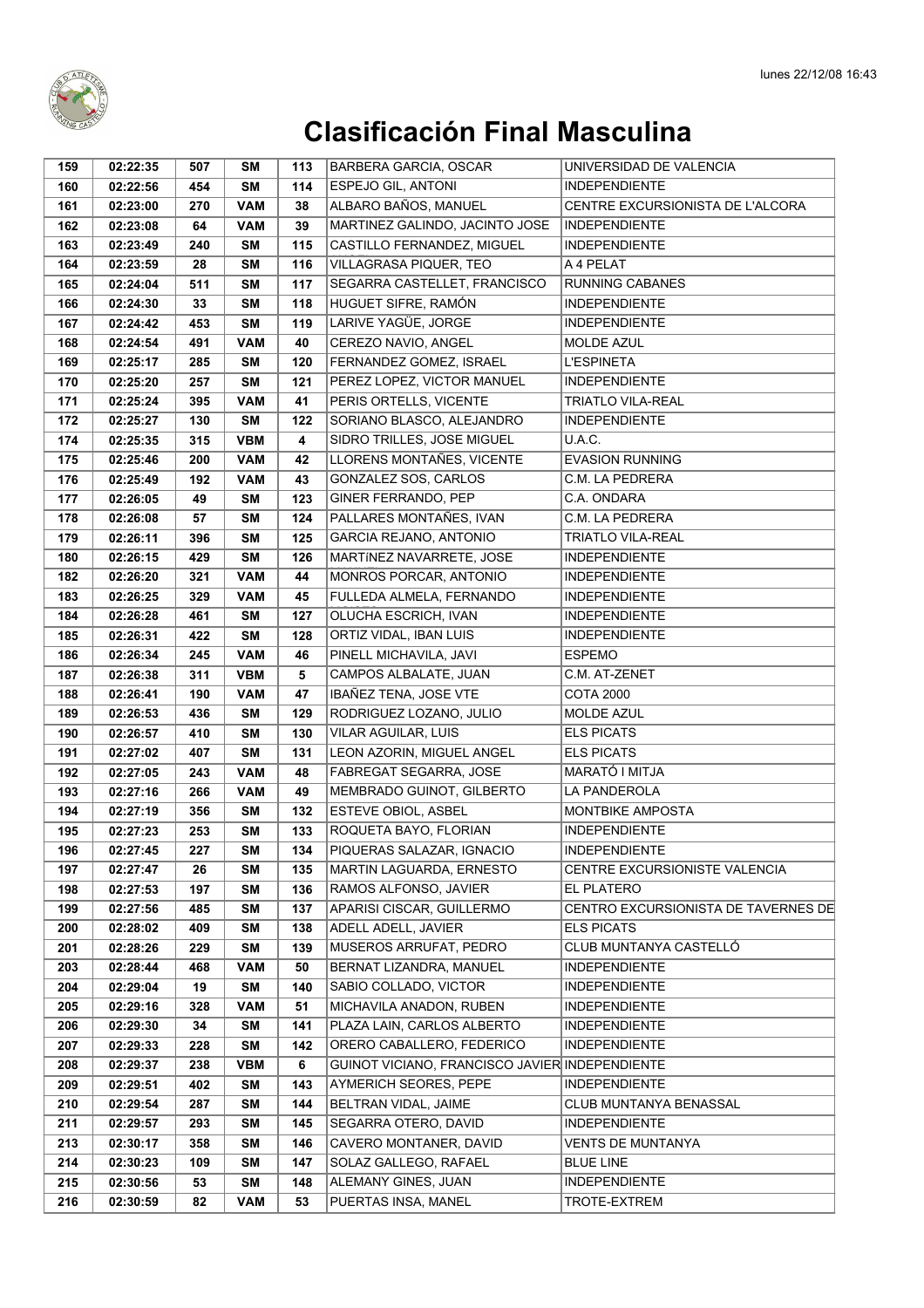

| 159 | 02:22:35 | 507 | SΜ         | 113 | BARBERA GARCIA, OSCAR                          | UNIVERSIDAD DE VALENCIA             |
|-----|----------|-----|------------|-----|------------------------------------------------|-------------------------------------|
| 160 | 02:22:56 | 454 | <b>SM</b>  | 114 | ESPEJO GIL, ANTONI                             | <b>INDEPENDIENTE</b>                |
| 161 | 02:23:00 | 270 | <b>VAM</b> | 38  | ALBARO BAÑOS, MANUEL                           | CENTRE EXCURSIONISTA DE L'ALCORA    |
| 162 | 02:23:08 | 64  | <b>VAM</b> | 39  | MARTINEZ GALINDO, JACINTO JOSE                 | <b>INDEPENDIENTE</b>                |
| 163 | 02:23:49 | 240 | <b>SM</b>  | 115 | CASTILLO FERNANDEZ, MIGUEL                     | <b>INDEPENDIENTE</b>                |
| 164 | 02:23:59 | 28  | <b>SM</b>  | 116 | VILLAGRASA PIQUER, TEO                         | A 4 PELAT                           |
| 165 | 02:24:04 | 511 | <b>SM</b>  | 117 | SEGARRA CASTELLET, FRANCISCO                   | <b>RUNNING CABANES</b>              |
| 166 | 02:24:30 | 33  | <b>SM</b>  | 118 | HUGUET SIFRE, RAMÓN                            | <b>INDEPENDIENTE</b>                |
| 167 | 02:24:42 | 453 | SΜ         | 119 | LARIVE YAGÜE, JORGE                            | <b>INDEPENDIENTE</b>                |
| 168 | 02:24:54 | 491 | <b>VAM</b> | 40  | CEREZO NAVIO, ANGEL                            | <b>MOLDE AZUL</b>                   |
| 169 | 02:25:17 | 285 | SΜ         | 120 | FERNANDEZ GOMEZ, ISRAEL                        | <b>L'ESPINETA</b>                   |
| 170 | 02:25:20 | 257 | <b>SM</b>  | 121 | PEREZ LOPEZ, VICTOR MANUEL                     | <b>INDEPENDIENTE</b>                |
| 171 | 02:25:24 | 395 | <b>VAM</b> | 41  | PERIS ORTELLS, VICENTE                         | <b>TRIATLO VILA-REAL</b>            |
| 172 | 02:25:27 | 130 | <b>SM</b>  | 122 | SORIANO BLASCO, ALEJANDRO                      | <b>INDEPENDIENTE</b>                |
| 174 | 02:25:35 | 315 | <b>VBM</b> | 4   | SIDRO TRILLES, JOSE MIGUEL                     | U.A.C.                              |
| 175 | 02:25:46 | 200 | <b>VAM</b> | 42  | LLORENS MONTAÑES, VICENTE                      | <b>EVASION RUNNING</b>              |
| 176 | 02:25:49 | 192 | <b>VAM</b> | 43  | GONZALEZ SOS, CARLOS                           | C.M. LA PEDRERA                     |
| 177 | 02:26:05 | 49  | <b>SM</b>  | 123 | GINER FERRANDO, PEP                            | C.A. ONDARA                         |
| 178 | 02:26:08 | 57  | <b>SM</b>  | 124 | PALLARES MONTAÑES. IVAN                        | C.M. LA PEDRERA                     |
| 179 | 02:26:11 | 396 | <b>SM</b>  | 125 | GARCIA REJANO, ANTONIO                         | <b>TRIATLO VILA-REAL</b>            |
| 180 | 02:26:15 | 429 | <b>SM</b>  | 126 | MARTINEZ NAVARRETE, JOSE                       | <b>INDEPENDIENTE</b>                |
| 182 | 02:26:20 | 321 | <b>VAM</b> | 44  | MONROS PORCAR, ANTONIO                         | <b>INDEPENDIENTE</b>                |
| 183 | 02:26:25 | 329 | <b>VAM</b> | 45  | FULLEDA ALMELA, FERNANDO                       | <b>INDEPENDIENTE</b>                |
| 184 | 02:26:28 | 461 | <b>SM</b>  | 127 | OLUCHA ESCRICH, IVAN                           | <b>INDEPENDIENTE</b>                |
| 185 | 02:26:31 | 422 | <b>SM</b>  | 128 | ORTIZ VIDAL, IBAN LUIS                         | <b>INDEPENDIENTE</b>                |
| 186 | 02:26:34 | 245 | <b>VAM</b> | 46  | PINELL MICHAVILA, JAVI                         | <b>ESPEMO</b>                       |
| 187 | 02:26:38 | 311 | <b>VBM</b> | 5   | CAMPOS ALBALATE, JUAN                          | C.M. AT-ZENET                       |
| 188 | 02:26:41 | 190 | <b>VAM</b> | 47  | IBAÑEZ TENA, JOSE VTE                          | <b>COTA 2000</b>                    |
| 189 | 02:26:53 | 436 | <b>SM</b>  | 129 | RODRIGUEZ LOZANO, JULIO                        | <b>MOLDE AZUL</b>                   |
| 190 | 02:26:57 | 410 | <b>SM</b>  | 130 | VILAR AGUILAR, LUIS                            | <b>ELS PICATS</b>                   |
| 191 | 02:27:02 | 407 | <b>SM</b>  | 131 | LEON AZORIN, MIGUEL ANGEL                      | <b>ELS PICATS</b>                   |
| 192 | 02:27:05 | 243 | <b>VAM</b> | 48  | FABREGAT SEGARRA, JOSE                         | MARATÓ I MITJA                      |
| 193 | 02:27:16 | 266 | <b>VAM</b> | 49  | MEMBRADO GUINOT, GILBERTO                      | LA PANDEROLA                        |
| 194 | 02:27:19 | 356 | <b>SM</b>  | 132 | ESTEVE OBIOL, ASBEL                            | MONTBIKE AMPOSTA                    |
| 195 | 02:27:23 | 253 | <b>SM</b>  | 133 | ROQUETA BAYO, FLORIAN                          | <b>INDEPENDIENTE</b>                |
| 196 | 02:27:45 | 227 | SM         | 134 | PIQUERAS SALAZAR, IGNACIO                      | <b>INDEPENDIENTE</b>                |
| 197 | 02:27:47 | 26  | <b>SM</b>  | 135 | MARTIN LAGUARDA, ERNESTO                       | CENTRE EXCURSIONISTE VALENCIA       |
| 198 | 02:27:53 | 197 | SΜ         | 136 | RAMOS ALFONSO, JAVIER                          | EL PLATERO                          |
| 199 | 02:27:56 | 485 | SΜ         | 137 | APARISI CISCAR, GUILLERMO                      | CENTRO EXCURSIONISTA DE TAVERNES DE |
| 200 | 02:28:02 | 409 | <b>SM</b>  | 138 | ADELL ADELL, JAVIER                            | <b>ELS PICATS</b>                   |
| 201 | 02:28:26 | 229 | <b>SM</b>  | 139 | MUSEROS ARRUFAT, PEDRO                         | CLUB MUNTANYA CASTELLÓ              |
| 203 | 02:28:44 | 468 | <b>VAM</b> | 50  | BERNAT LIZANDRA, MANUEL                        | <b>INDEPENDIENTE</b>                |
| 204 | 02:29:04 | 19  | SΜ         | 140 | SABIO COLLADO, VICTOR                          | <b>INDEPENDIENTE</b>                |
| 205 | 02:29:16 | 328 | VAM        | 51  | MICHAVILA ANADON, RUBEN                        | <b>INDEPENDIENTE</b>                |
| 206 | 02:29:30 | 34  | <b>SM</b>  | 141 | PLAZA LAIN, CARLOS ALBERTO                     | <b>INDEPENDIENTE</b>                |
| 207 | 02:29:33 | 228 | <b>SM</b>  | 142 | ORERO CABALLERO, FEDERICO                      | <b>INDEPENDIENTE</b>                |
| 208 | 02:29:37 | 238 | <b>VBM</b> | 6   | GUINOT VICIANO, FRANCISCO JAVIER INDEPENDIENTE |                                     |
| 209 | 02:29:51 | 402 | SΜ         | 143 | AYMERICH SEORES, PEPE                          | <b>INDEPENDIENTE</b>                |
| 210 | 02:29:54 | 287 | SΜ         | 144 | BELTRAN VIDAL, JAIME                           | CLUB MUNTANYA BENASSAL              |
| 211 | 02:29:57 | 293 | <b>SM</b>  | 145 | SEGARRA OTERO, DAVID                           | <b>INDEPENDIENTE</b>                |
| 213 | 02:30:17 | 358 | <b>SM</b>  | 146 | CAVERO MONTANER, DAVID                         | VENTS DE MUNTANYA                   |
| 214 | 02:30:23 | 109 | <b>SM</b>  | 147 | SOLAZ GALLEGO, RAFAEL                          | <b>BLUE LINE</b>                    |
| 215 | 02:30:56 | 53  | <b>SM</b>  | 148 | ALEMANY GINES, JUAN                            | <b>INDEPENDIENTE</b>                |
| 216 | 02:30:59 | 82  | <b>VAM</b> | 53  | PUERTAS INSA, MANEL                            | TROTE-EXTREM                        |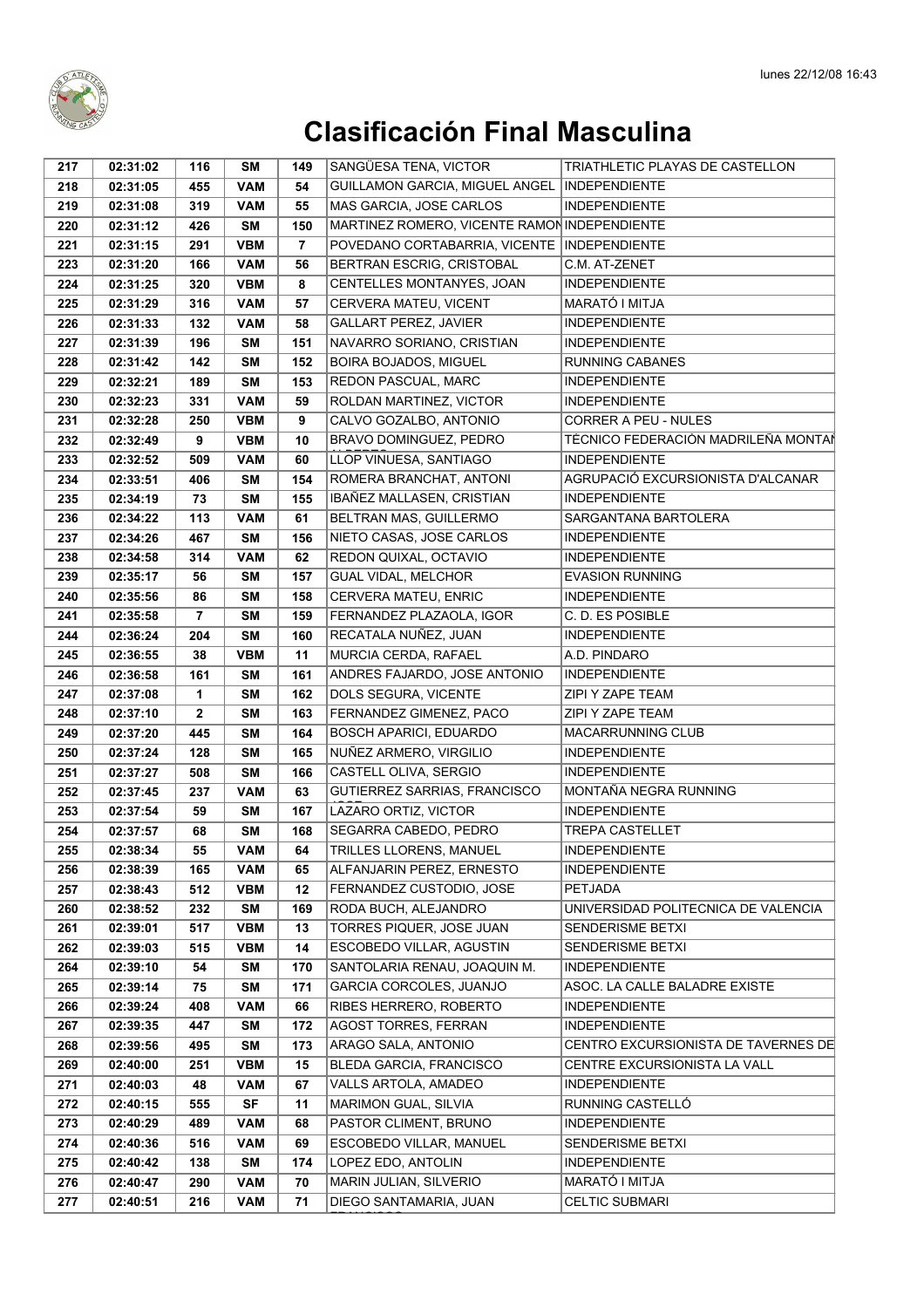

| 217        | 02:31:02             | 116            | <b>SM</b>                | 149            | SANGÜESA TENA, VICTOR                                       | TRIATHLETIC PLAYAS DE CASTELLON              |
|------------|----------------------|----------------|--------------------------|----------------|-------------------------------------------------------------|----------------------------------------------|
| 218        | 02:31:05             | 455            | <b>VAM</b>               | 54             | <b>GUILLAMON GARCIA. MIGUEL ANGEL</b>                       | <b>INDEPENDIENTE</b>                         |
| 219        | 02:31:08             | 319            | <b>VAM</b>               | 55             | MAS GARCIA, JOSE CARLOS                                     | <b>INDEPENDIENTE</b>                         |
| 220        | 02:31:12             | 426            | <b>SM</b>                | 150            | MARTINEZ ROMERO, VICENTE RAMON INDEPENDIENTE                |                                              |
| 221        | 02:31:15             | 291            | <b>VBM</b>               | $\overline{7}$ | POVEDANO CORTABARRIA, VICENTE                               | <b>INDEPENDIENTE</b>                         |
| 223        | 02:31:20             | 166            | <b>VAM</b>               | 56             | BERTRAN ESCRIG, CRISTOBAL                                   | C.M. AT-ZENET                                |
| 224        | 02:31:25             | 320            | <b>VBM</b>               | 8              | CENTELLES MONTANYES, JOAN                                   | <b>INDEPENDIENTE</b>                         |
| 225        | 02:31:29             | 316            | <b>VAM</b>               | 57             | CERVERA MATEU, VICENT                                       | MARATÓ I MITJA                               |
| 226        | 02:31:33             | 132            | <b>VAM</b>               | 58             | <b>GALLART PEREZ, JAVIER</b>                                | <b>INDEPENDIENTE</b>                         |
| 227        | 02:31:39             | 196            | <b>SM</b>                | 151            | NAVARRO SORIANO, CRISTIAN                                   | <b>INDEPENDIENTE</b>                         |
| 228        | 02:31:42             | 142            | <b>SM</b>                | 152            | <b>BOIRA BOJADOS, MIGUEL</b>                                | <b>RUNNING CABANES</b>                       |
| 229        | 02:32:21             | 189            | <b>SM</b>                | 153            | REDON PASCUAL, MARC                                         | <b>INDEPENDIENTE</b>                         |
| 230        | 02:32:23             | 331            | <b>VAM</b>               | 59             | ROLDAN MARTINEZ, VICTOR                                     | <b>INDEPENDIENTE</b>                         |
| 231        | 02:32:28             | 250            | <b>VBM</b>               | 9              | CALVO GOZALBO, ANTONIO                                      | <b>CORRER A PEU - NULES</b>                  |
| 232        | 02:32:49             | 9              | <b>VBM</b>               | 10             | BRAVO DOMINGUEZ, PEDRO                                      | TÉCNICO FEDERACIÓN MADRILEÑA MONTAÍ          |
| 233        | 02:32:52             | 509            | <b>VAM</b>               | 60             | LLOP VINUESA, SANTIAGO                                      | <b>INDEPENDIENTE</b>                         |
| 234        | 02:33:51             | 406            | <b>SM</b>                | 154            | ROMERA BRANCHAT, ANTONI                                     | AGRUPACIÓ EXCURSIONISTA D'ALCANAR            |
| 235        | 02:34:19             | 73             | <b>SM</b>                | 155            | IBAÑEZ MALLASEN, CRISTIAN                                   | <b>INDEPENDIENTE</b>                         |
| 236        | 02:34:22             | 113            | <b>VAM</b>               | 61             | BELTRAN MAS, GUILLERMO                                      | <b>SARGANTANA BARTOLERA</b>                  |
| 237        | 02:34:26             | 467            | <b>SM</b>                | 156            | NIETO CASAS, JOSE CARLOS                                    | <b>INDEPENDIENTE</b>                         |
| 238        | 02:34:58             | 314            | <b>VAM</b>               | 62             | REDON QUIXAL, OCTAVIO                                       | <b>INDEPENDIENTE</b>                         |
| 239        | 02:35:17             | 56             | <b>SM</b>                | 157            | GUAL VIDAL, MELCHOR                                         | <b>EVASION RUNNING</b>                       |
| 240        | 02:35:56             | 86             | <b>SM</b>                | 158            | CERVERA MATEU, ENRIC                                        | <b>INDEPENDIENTE</b>                         |
| 241        | 02:35:58             | $\overline{7}$ | <b>SM</b>                | 159            | FERNANDEZ PLAZAOLA, IGOR                                    | C. D. ES POSIBLE                             |
| 244        | 02:36:24             | 204            | <b>SM</b>                | 160            | RECATALA NUÑEZ, JUAN                                        | <b>INDEPENDIENTE</b>                         |
| 245        | 02:36:55             | 38             | <b>VBM</b>               | 11             | MURCIA CERDA, RAFAEL                                        | A.D. PINDARO                                 |
| 246        | 02:36:58             | 161            | <b>SM</b>                | 161            | ANDRES FAJARDO, JOSE ANTONIO                                | <b>INDEPENDIENTE</b>                         |
| 247        | 02:37:08             | 1              | <b>SM</b>                | 162            | DOLS SEGURA, VICENTE                                        | ZIPI Y ZAPE TEAM                             |
| 248        | 02:37:10             | $\mathbf{2}$   | <b>SM</b>                | 163            | FERNANDEZ GIMENEZ, PACO                                     | ZIPI Y ZAPE TEAM                             |
| 249        | 02:37:20             | 445            | <b>SM</b>                | 164            | <b>BOSCH APARICI, EDUARDO</b>                               | MACARRUNNING CLUB                            |
| 250        | 02:37:24             | 128            | <b>SM</b>                | 165            | NUÑEZ ARMERO, VIRGILIO                                      | <b>INDEPENDIENTE</b>                         |
| 251        | 02:37:27             | 508            | <b>SM</b>                | 166            | CASTELL OLIVA, SERGIO                                       | <b>INDEPENDIENTE</b>                         |
| 252        | 02:37:45             | 237            | <b>VAM</b>               | 63             | GUTIERREZ SARRIAS, FRANCISCO                                | MONTAÑA NEGRA RUNNING                        |
| 253        | 02:37:54             | 59             | <b>SM</b>                | 167            | LAZARO ORTIZ, VICTOR                                        | <b>INDEPENDIENTE</b>                         |
| 254        | 02:37:57             | 68             | <b>SM</b>                | 168            | SEGARRA CABEDO, PEDRO                                       | <b>TREPA CASTELLET</b>                       |
| 255        | 02:38:34<br>02:38:39 | 55             | VAM                      | 64             | <b>TRILLES LLORENS, MANUEL</b><br>ALFANJARIN PEREZ, ERNESTO | <b>INDEPENDIENTE</b><br><b>INDEPENDIENTE</b> |
| 256<br>257 |                      | 165            | <b>VAM</b><br><b>VBM</b> | 65<br>12       | FERNANDEZ CUSTODIO, JOSE                                    | PETJADA                                      |
| 260        | 02:38:43<br>02:38:52 | 512<br>232     | SM                       | 169            | RODA BUCH, ALEJANDRO                                        | UNIVERSIDAD POLITECNICA DE VALENCIA          |
| 261        | 02:39:01             | 517            | <b>VBM</b>               | 13             | TORRES PIQUER, JOSE JUAN                                    | <b>SENDERISME BETXI</b>                      |
| 262        | 02:39:03             | 515            | <b>VBM</b>               | 14             | <b>ESCOBEDO VILLAR, AGUSTIN</b>                             | <b>SENDERISME BETXI</b>                      |
| 264        | 02:39:10             | 54             | SM                       | 170            | SANTOLARIA RENAU, JOAQUIN M.                                | <b>INDEPENDIENTE</b>                         |
| 265        | 02:39:14             | 75             | SM                       | 171            | GARCIA CORCOLES, JUANJO                                     | ASOC. LA CALLE BALADRE EXISTE                |
| 266        | 02:39:24             | 408            | <b>VAM</b>               | 66             | RIBES HERRERO, ROBERTO                                      | <b>INDEPENDIENTE</b>                         |
| 267        | 02:39:35             | 447            | <b>SM</b>                | 172            | <b>AGOST TORRES, FERRAN</b>                                 | <b>INDEPENDIENTE</b>                         |
| 268        | 02:39:56             | 495            | SM                       | 173            | ARAGO SALA, ANTONIO                                         | CENTRO EXCURSIONISTA DE TAVERNES DE          |
| 269        | 02:40:00             | 251            | <b>VBM</b>               | 15             | <b>BLEDA GARCIA, FRANCISCO</b>                              | CENTRE EXCURSIONISTA LA VALL                 |
| 271        | 02:40:03             | 48             | <b>VAM</b>               | 67             | VALLS ARTOLA, AMADEO                                        | <b>INDEPENDIENTE</b>                         |
| 272        | 02:40:15             | 555            | <b>SF</b>                | 11             | <b>MARIMON GUAL, SILVIA</b>                                 | RUNNING CASTELLÓ                             |
| 273        | 02:40:29             | 489            | <b>VAM</b>               | 68             | PASTOR CLIMENT, BRUNO                                       | <b>INDEPENDIENTE</b>                         |
| 274        | 02:40:36             | 516            | <b>VAM</b>               | 69             | ESCOBEDO VILLAR, MANUEL                                     | <b>SENDERISME BETXI</b>                      |
| 275        | 02:40:42             | 138            | SM                       | 174            | LOPEZ EDO, ANTOLIN                                          | <b>INDEPENDIENTE</b>                         |
| 276        | 02:40:47             | 290            | <b>VAM</b>               | 70             | MARIN JULIAN, SILVERIO                                      | MARATÓ I MITJA                               |
| 277        | 02:40:51             | 216            | <b>VAM</b>               | 71             | DIEGO SANTAMARIA, JUAN                                      | <b>CELTIC SUBMARI</b>                        |
|            |                      |                |                          |                |                                                             |                                              |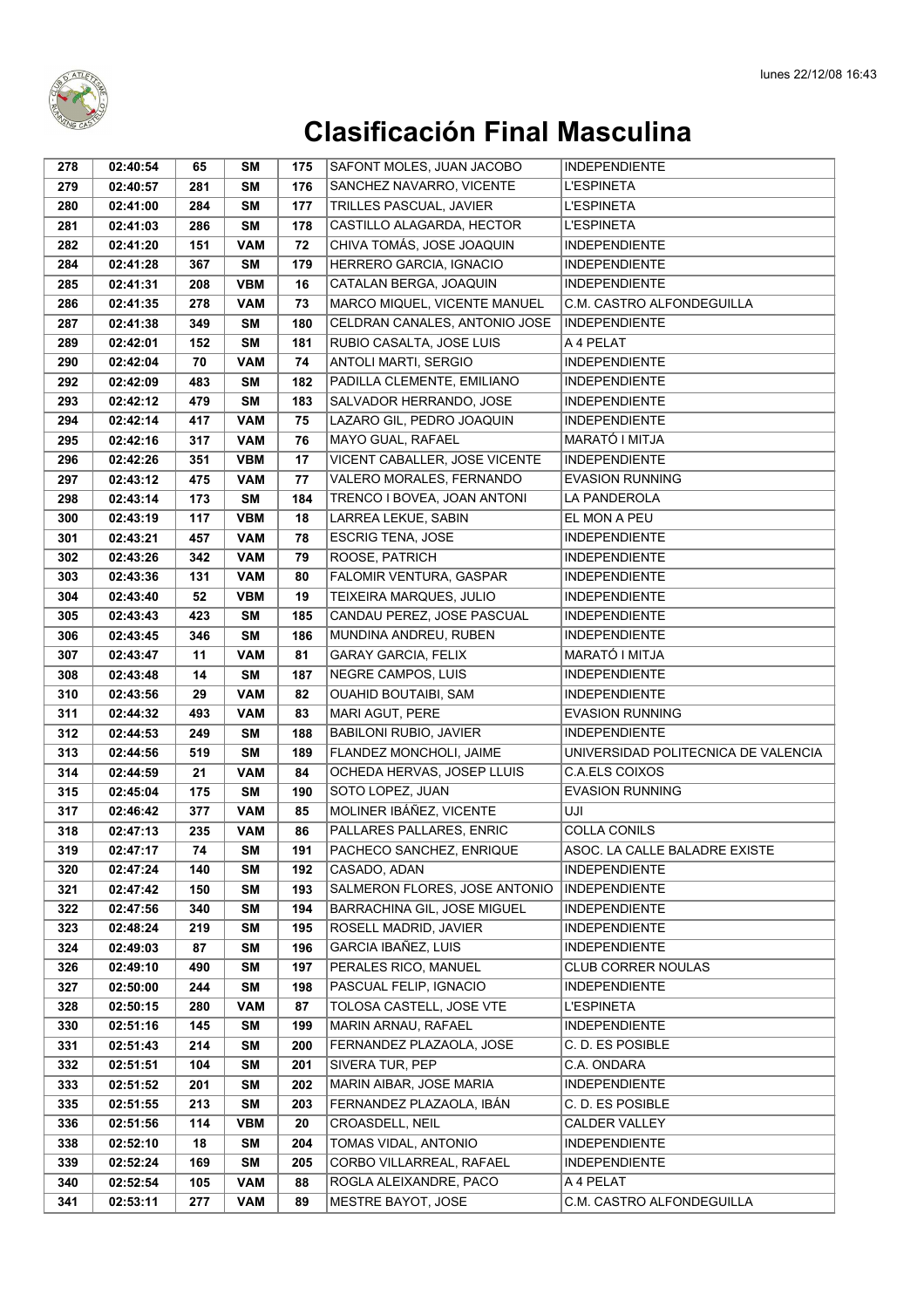

| 278        | 02:40:54             | 65        | SΜ              | 175        | SAFONT MOLES, JUAN JACOBO                            | <b>INDEPENDIENTE</b>                         |
|------------|----------------------|-----------|-----------------|------------|------------------------------------------------------|----------------------------------------------|
| 279        | 02:40:57             | 281       | <b>SM</b>       | 176        | SANCHEZ NAVARRO, VICENTE                             | <b>L'ESPINETA</b>                            |
| 280        | 02:41:00             | 284       | <b>SM</b>       | 177        | TRILLES PASCUAL, JAVIER                              | <b>L'ESPINETA</b>                            |
| 281        | 02:41:03             | 286       | <b>SM</b>       | 178        | CASTILLO ALAGARDA, HECTOR                            | <b>L'ESPINETA</b>                            |
| 282        | 02:41:20             | 151       | <b>VAM</b>      | 72         | CHIVA TOMÁS, JOSE JOAQUIN                            | <b>INDEPENDIENTE</b>                         |
| 284        | 02:41:28             | 367       | <b>SM</b>       | 179        | HERRERO GARCIA, IGNACIO                              | <b>INDEPENDIENTE</b>                         |
| 285        | 02:41:31             | 208       | <b>VBM</b>      | 16         | CATALAN BERGA, JOAQUIN                               | <b>INDEPENDIENTE</b>                         |
| 286        | 02:41:35             | 278       | <b>VAM</b>      | 73         | MARCO MIQUEL, VICENTE MANUEL                         | C.M. CASTRO ALFONDEGUILLA                    |
| 287        | 02:41:38             | 349       | <b>SM</b>       | 180        | CELDRAN CANALES, ANTONIO JOSE                        | <b>INDEPENDIENTE</b>                         |
| 289        | 02:42:01             | 152       | <b>SM</b>       | 181        | RUBIO CASALTA, JOSE LUIS                             | A 4 PELAT                                    |
| 290        | 02:42:04             | 70        | <b>VAM</b>      | 74         | ANTOLI MARTI, SERGIO                                 | <b>INDEPENDIENTE</b>                         |
| 292        | 02:42:09             | 483       | <b>SM</b>       | 182        | PADILLA CLEMENTE, EMILIANO                           | <b>INDEPENDIENTE</b>                         |
| 293        | 02:42:12             | 479       | <b>SM</b>       | 183        | SALVADOR HERRANDO, JOSE                              | <b>INDEPENDIENTE</b>                         |
| 294        | 02:42:14             | 417       | <b>VAM</b>      | 75         | LAZARO GIL, PEDRO JOAQUIN                            | <b>INDEPENDIENTE</b>                         |
| 295        | 02:42:16             | 317       | <b>VAM</b>      | 76         | MAYO GUAL, RAFAEL                                    | MARATÓ I MITJA                               |
| 296        | 02:42:26             | 351       | <b>VBM</b>      | 17         | VICENT CABALLER, JOSE VICENTE                        | <b>INDEPENDIENTE</b>                         |
| 297        | 02:43:12             | 475       | <b>VAM</b>      | 77         | <b>VALERO MORALES, FERNANDO</b>                      | <b>EVASION RUNNING</b>                       |
| 298        | 02:43:14             | 173       | <b>SM</b>       | 184        | TRENCO I BOVEA, JOAN ANTONI                          | LA PANDEROLA                                 |
| 300        | 02:43:19             | 117       | <b>VBM</b>      | 18         | LARREA LEKUE, SABIN                                  | EL MON A PEU                                 |
| 301        | 02:43:21             | 457       | <b>VAM</b>      | 78         | <b>ESCRIG TENA, JOSE</b>                             | <b>INDEPENDIENTE</b>                         |
| 302        | 02:43:26             | 342       | <b>VAM</b>      | 79         | ROOSE, PATRICH                                       | <b>INDEPENDIENTE</b>                         |
| 303        | 02:43:36             | 131       | <b>VAM</b>      | 80         | FALOMIR VENTURA, GASPAR                              | <b>INDEPENDIENTE</b>                         |
| 304        | 02:43:40             | 52        | <b>VBM</b>      | 19         | TEIXEIRA MARQUES, JULIO                              | <b>INDEPENDIENTE</b>                         |
| 305        | 02:43:43             | 423       | <b>SM</b>       | 185        | CANDAU PEREZ, JOSE PASCUAL                           | <b>INDEPENDIENTE</b>                         |
| 306        | 02:43:45             | 346       | <b>SM</b>       | 186        | MUNDINA ANDREU, RUBEN                                | <b>INDEPENDIENTE</b>                         |
| 307        | 02:43:47             | 11        | <b>VAM</b>      | 81         | <b>GARAY GARCIA, FELIX</b>                           | MARATÓ I MITJA                               |
| 308        | 02:43:48             | 14        | SΜ              | 187        | NEGRE CAMPOS, LUIS                                   | <b>INDEPENDIENTE</b>                         |
| 310        | 02:43:56             | 29        | <b>VAM</b>      | 82         | OUAHID BOUTAIBI, SAM                                 | <b>INDEPENDIENTE</b>                         |
| 311        | 02:44:32             | 493       | <b>VAM</b>      | 83         | MARI AGUT, PERE                                      | <b>EVASION RUNNING</b>                       |
| 312        | 02:44:53             | 249       | <b>SM</b>       | 188        | BABILONI RUBIO, JAVIER                               | <b>INDEPENDIENTE</b>                         |
| 313        | 02:44:56             | 519       | <b>SM</b>       | 189        | FLANDEZ MONCHOLI, JAIME                              | UNIVERSIDAD POLITECNICA DE VALENCIA          |
| 314        | 02:44:59             | 21        | <b>VAM</b>      | 84         | OCHEDA HERVAS, JOSEP LLUIS                           | C.A.ELS COIXOS                               |
| 315        | 02:45:04             | 175       | <b>SM</b>       | 190        | SOTO LOPEZ, JUAN                                     | <b>EVASION RUNNING</b>                       |
| 317        | 02:46:42             | 377       | <b>VAM</b>      | 85         | MOLINER IBÁÑEZ, VICENTE                              | UJI                                          |
| 318        | 02:47:13             | 235       | <b>VAM</b>      | 86         | PALLARES PALLARES, ENRIC                             | COLLA CONILS                                 |
| 319        | 02:47:17             | 74        | SM              | 191        | PACHECO SANCHEZ, ENRIQUE                             | ASOC. LA CALLE BALADRE EXISTE                |
| 320        | 02:47:24             | 140       | SM              | 192        | CASADO, ADAN                                         | <b>INDEPENDIENTE</b>                         |
| 321        | 02:47:42             | 150       | SΜ              | 193        | SALMERON FLORES, JOSE ANTONIO                        | <b>INDEPENDIENTE</b>                         |
| 322        | 02:47:56<br>02:48:24 | 340       | SΜ              | 194        | BARRACHINA GIL, JOSE MIGUEL<br>ROSELL MADRID, JAVIER | <b>INDEPENDIENTE</b>                         |
| 323        |                      | 219       | <b>SM</b>       | 195        | GARCIA IBAÑEZ, LUIS                                  | <b>INDEPENDIENTE</b><br><b>INDEPENDIENTE</b> |
| 324<br>326 | 02:49:03<br>02:49:10 | 87<br>490 | <b>SM</b><br>SΜ | 196<br>197 | PERALES RICO, MANUEL                                 | CLUB CORRER NOULAS                           |
| 327        | 02:50:00             | 244       | <b>SM</b>       | 198        | PASCUAL FELIP, IGNACIO                               | <b>INDEPENDIENTE</b>                         |
| 328        | 02:50:15             | 280       | <b>VAM</b>      | 87         | <b>TOLOSA CASTELL, JOSE VTE</b>                      | <b>L'ESPINETA</b>                            |
| 330        | 02:51:16             | 145       | <b>SM</b>       | 199        | MARIN ARNAU, RAFAEL                                  | <b>INDEPENDIENTE</b>                         |
| 331        | 02:51:43             | 214       | SΜ              | 200        | FERNANDEZ PLAZAOLA, JOSE                             | C. D. ES POSIBLE                             |
| 332        | 02:51:51             | 104       | SΜ              | 201        | SIVERA TUR, PEP                                      | C.A. ONDARA                                  |
| 333        | 02:51:52             | 201       | SΜ              | 202        | MARIN AIBAR, JOSE MARIA                              | <b>INDEPENDIENTE</b>                         |
| 335        | 02:51:55             | 213       | <b>SM</b>       | 203        | FERNANDEZ PLAZAOLA, IBÁN                             | C. D. ES POSIBLE                             |
| 336        | 02:51:56             | 114       | <b>VBM</b>      | 20         | CROASDELL, NEIL                                      | <b>CALDER VALLEY</b>                         |
| 338        | 02:52:10             | 18        | <b>SM</b>       | 204        | TOMAS VIDAL, ANTONIO                                 | <b>INDEPENDIENTE</b>                         |
| 339        | 02:52:24             | 169       | <b>SM</b>       | 205        | CORBO VILLARREAL, RAFAEL                             | <b>INDEPENDIENTE</b>                         |
| 340        | 02:52:54             | 105       | <b>VAM</b>      | 88         | ROGLA ALEIXANDRE, PACO                               | A 4 PELAT                                    |
| 341        | 02:53:11             | 277       | <b>VAM</b>      | 89         | MESTRE BAYOT, JOSE                                   | C.M. CASTRO ALFONDEGUILLA                    |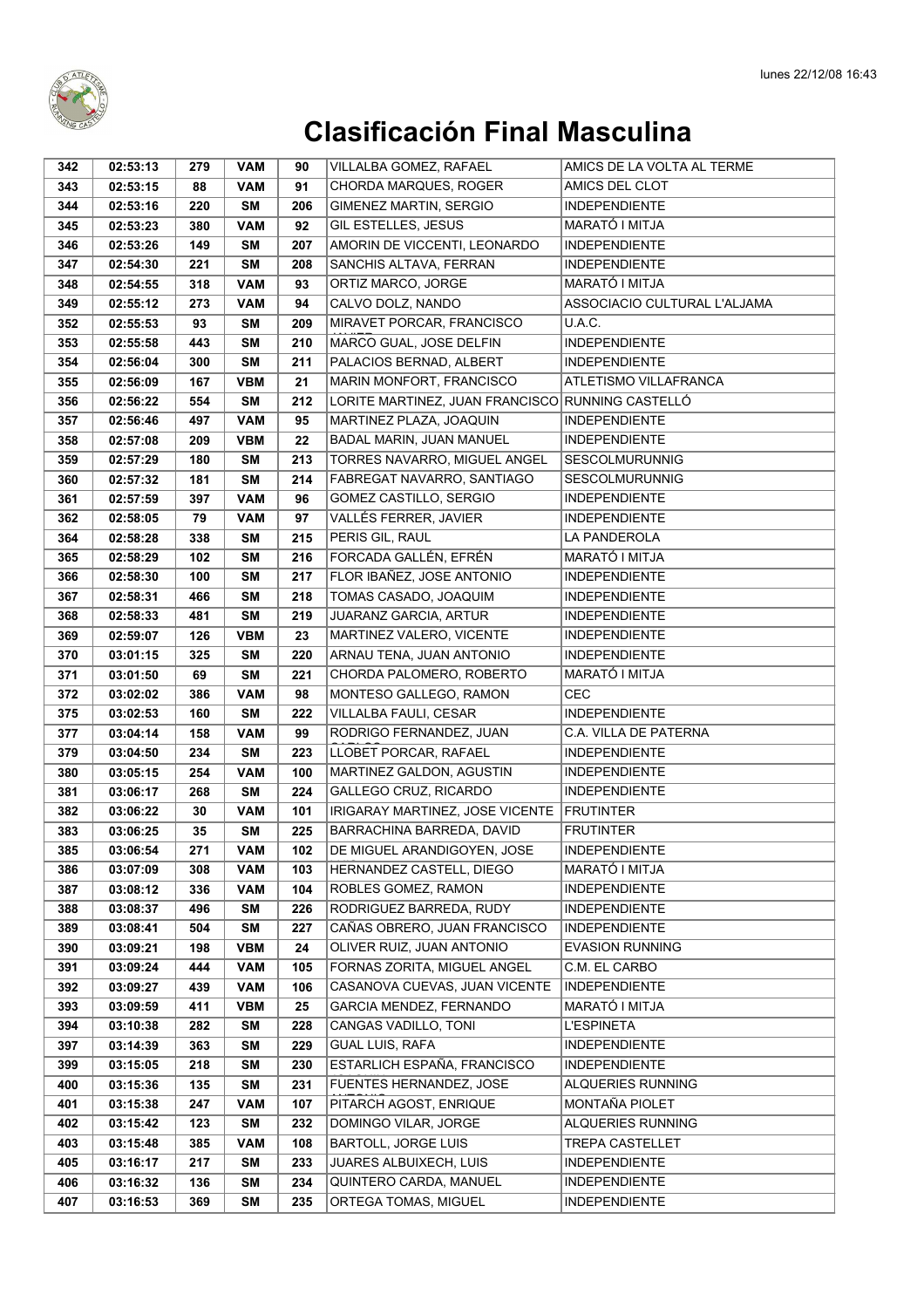

| 342        | 02:53:13             | 279        | <b>VAM</b>               | 90        | VILLALBA GOMEZ, RAFAEL                                    | AMICS DE LA VOLTA AL TERME                     |
|------------|----------------------|------------|--------------------------|-----------|-----------------------------------------------------------|------------------------------------------------|
| 343        | 02:53:15             | 88         | <b>VAM</b>               | 91        | CHORDA MARQUES, ROGER                                     | AMICS DEL CLOT                                 |
| 344        | 02:53:16             | 220        | <b>SM</b>                | 206       | GIMENEZ MARTIN, SERGIO                                    | <b>INDEPENDIENTE</b>                           |
| 345        | 02:53:23             | 380        | <b>VAM</b>               | 92        | GIL ESTELLES, JESUS                                       | MARATÓ I MITJA                                 |
| 346        | 02:53:26             | 149        | <b>SM</b>                | 207       | AMORIN DE VICCENTI, LEONARDO                              | <b>INDEPENDIENTE</b>                           |
| 347        | 02:54:30             | 221        | <b>SM</b>                | 208       | SANCHIS ALTAVA, FERRAN                                    | <b>INDEPENDIENTE</b>                           |
| 348        | 02:54:55             | 318        | <b>VAM</b>               | 93        | ORTIZ MARCO, JORGE                                        | MARATÓ I MITJA                                 |
| 349        | 02:55:12             | 273        | <b>VAM</b>               | 94        | CALVO DOLZ, NANDO                                         | ASSOCIACIO CULTURAL L'ALJAMA                   |
| 352        | 02:55:53             | 93         | SΜ                       | 209       | MIRAVET PORCAR, FRANCISCO                                 | U.A.C.                                         |
| 353        | 02:55:58             | 443        | <b>SM</b>                | 210       | MARCO GUAL, JOSE DELFIN                                   | <b>INDEPENDIENTE</b>                           |
| 354        | 02:56:04             | 300        | <b>SM</b>                | 211       | PALACIOS BERNAD, ALBERT                                   | <b>INDEPENDIENTE</b>                           |
| 355        | 02:56:09             | 167        | <b>VBM</b>               | 21        | MARIN MONFORT, FRANCISCO                                  | ATLETISMO VILLAFRANCA                          |
| 356        | 02:56:22             | 554        | <b>SM</b>                | 212       | LORITE MARTINEZ, JUAN FRANCISCO RUNNING CASTELLÓ          |                                                |
| 357        | 02:56:46             | 497        | <b>VAM</b>               | 95        | MARTINEZ PLAZA, JOAQUIN                                   | <b>INDEPENDIENTE</b>                           |
| 358        | 02:57:08             | 209        | <b>VBM</b>               | 22        | BADAL MARIN, JUAN MANUEL                                  | <b>INDEPENDIENTE</b>                           |
| 359        | 02:57:29             | 180        | <b>SM</b>                | 213       | TORRES NAVARRO, MIGUEL ANGEL                              | <b>SESCOLMURUNNIG</b>                          |
| 360        | 02:57:32             | 181        | <b>SM</b>                | 214       | FABREGAT NAVARRO, SANTIAGO                                | <b>SESCOLMURUNNIG</b>                          |
| 361        | 02:57:59             | 397        | <b>VAM</b>               | 96        | GOMEZ CASTILLO, SERGIO                                    | <b>INDEPENDIENTE</b>                           |
| 362        | 02:58:05             | 79         | <b>VAM</b>               | 97        | VALLÉS FERRER, JAVIER                                     | <b>INDEPENDIENTE</b>                           |
| 364        | 02:58:28             | 338        | <b>SM</b>                | 215       | PERIS GIL, RAUL                                           | LA PANDEROLA                                   |
| 365        | 02:58:29             | 102        | <b>SM</b>                | 216       | FORCADA GALLÉN, EFRÉN                                     | MARATÓ I MITJA                                 |
| 366        | 02:58:30             | 100        | <b>SM</b>                | 217       | FLOR IBAÑEZ, JOSE ANTONIO                                 | <b>INDEPENDIENTE</b>                           |
| 367        | 02:58:31             | 466        | <b>SM</b>                | 218       | TOMAS CASADO, JOAQUIM                                     | <b>INDEPENDIENTE</b>                           |
| 368        | 02:58:33             | 481        | <b>SM</b>                | 219       | JUARANZ GARCIA, ARTUR                                     | <b>INDEPENDIENTE</b>                           |
| 369        | 02:59:07             | 126        | <b>VBM</b>               | 23        | MARTINEZ VALERO, VICENTE                                  | <b>INDEPENDIENTE</b>                           |
| 370        | 03:01:15             | 325        | <b>SM</b>                | 220       | ARNAU TENA, JUAN ANTONIO                                  | <b>INDEPENDIENTE</b>                           |
| 371        | 03:01:50             | 69         | <b>SM</b>                | 221       | CHORDA PALOMERO, ROBERTO                                  | MARATÓ I MITJA                                 |
| 372        | 03:02:02             | 386        | <b>VAM</b>               | 98        | MONTESO GALLEGO, RAMON                                    | <b>CEC</b>                                     |
| 375        | 03:02:53             | 160        | SΜ                       | 222       | VILLALBA FAULI, CESAR                                     | <b>INDEPENDIENTE</b>                           |
| 377        | 03:04:14             | 158        | <b>VAM</b>               | 99        | RODRIGO FERNANDEZ, JUAN                                   | C.A. VILLA DE PATERNA                          |
| 379        | 03:04:50             | 234        | <b>SM</b>                | 223       | LLOBET PORCAR, RAFAEL                                     | <b>INDEPENDIENTE</b>                           |
| 380        | 03:05:15             | 254        | <b>VAM</b>               | 100       | MARTINEZ GALDON, AGUSTIN                                  | <b>INDEPENDIENTE</b>                           |
| 381        | 03:06:17             | 268        | <b>SM</b>                | 224       | GALLEGO CRUZ, RICARDO                                     | <b>INDEPENDIENTE</b>                           |
| 382        | 03:06:22             | 30         | <b>VAM</b>               | 101       | IRIGARAY MARTINEZ, JOSE VICENTE   FRUTINTER               |                                                |
| 383        | 03:06:25             | 35         | <b>SM</b>                | 225       | BARRACHINA BARREDA, DAVID                                 | <b>FRUTINTER</b>                               |
| 385        | 03:06:54             | 271        | VAM                      | 102       | DE MIGUEL ARANDIGOYEN, JOSE                               | INDEPENDIENTE                                  |
| 386        | 03:07:09             | 308        | <b>VAM</b>               | 103       | HERNANDEZ CASTELL, DIEGO                                  | MARATÓ I MITJA                                 |
| 387        | 03:08:12             | 336        | <b>VAM</b>               | 104       | ROBLES GOMEZ, RAMON                                       | <b>INDEPENDIENTE</b>                           |
| 388        | 03:08:37             | 496        | <b>SM</b>                | 226       | RODRIGUEZ BARREDA, RUDY                                   | <b>INDEPENDIENTE</b>                           |
| 389        | 03:08:41             | 504        | <b>SM</b>                | 227       | CAÑAS OBRERO, JUAN FRANCISCO<br>OLIVER RUIZ, JUAN ANTONIO | <b>INDEPENDIENTE</b><br><b>EVASION RUNNING</b> |
| 390<br>391 | 03:09:21<br>03:09:24 | 198<br>444 | <b>VBM</b><br><b>VAM</b> | 24<br>105 | FORNAS ZORITA, MIGUEL ANGEL                               | C.M. EL CARBO                                  |
| 392        | 03:09:27             | 439        | <b>VAM</b>               | 106       | CASANOVA CUEVAS, JUAN VICENTE                             | <b>INDEPENDIENTE</b>                           |
| 393        | 03:09:59             | 411        | <b>VBM</b>               | 25        | <b>GARCIA MENDEZ, FERNANDO</b>                            | MARATÓ I MITJA                                 |
| 394        | 03:10:38             | 282        | <b>SM</b>                | 228       | CANGAS VADILLO, TONI                                      | <b>L'ESPINETA</b>                              |
| 397        | 03:14:39             | 363        | <b>SM</b>                | 229       | <b>GUAL LUIS, RAFA</b>                                    | <b>INDEPENDIENTE</b>                           |
| 399        | 03:15:05             | 218        | <b>SM</b>                | 230       | ESTARLICH ESPAÑA, FRANCISCO                               | <b>INDEPENDIENTE</b>                           |
| 400        | 03:15:36             | 135        | <b>SM</b>                | 231       | FUENTES HERNANDEZ, JOSE                                   | ALQUERIES RUNNING                              |
| 401        | 03:15:38             | 247        | <b>VAM</b>               | 107       | PITARCH AGOST, ENRIQUE                                    | MONTAÑA PIOLET                                 |
| 402        | 03:15:42             | 123        | SΜ                       | 232       | DOMINGO VILAR, JORGE                                      | ALQUERIES RUNNING                              |
| 403        | 03:15:48             | 385        | <b>VAM</b>               | 108       | <b>BARTOLL, JORGE LUIS</b>                                | <b>TREPA CASTELLET</b>                         |
| 405        | 03:16:17             | 217        | <b>SM</b>                | 233       | JUARES ALBUIXECH, LUIS                                    | <b>INDEPENDIENTE</b>                           |
| 406        | 03:16:32             | 136        | <b>SM</b>                | 234       | QUINTERO CARDA, MANUEL                                    | <b>INDEPENDIENTE</b>                           |
| 407        | 03:16:53             | 369        | <b>SM</b>                | 235       | ORTEGA TOMAS, MIGUEL                                      | <b>INDEPENDIENTE</b>                           |
|            |                      |            |                          |           |                                                           |                                                |